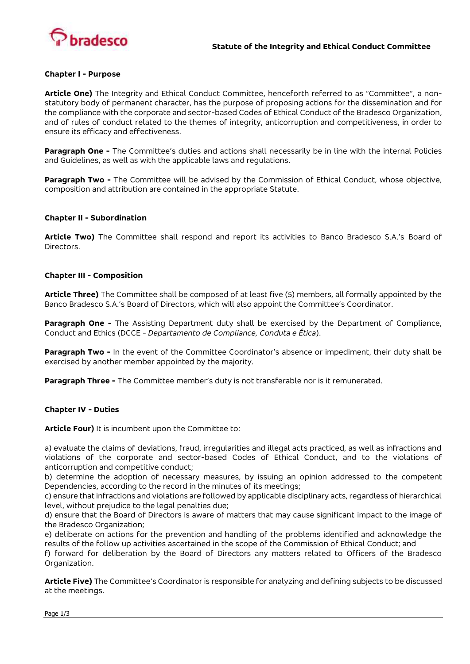

### **Chapter I - Purpose**

**Article One)** The Integrity and Ethical Conduct Committee, henceforth referred to as "Committee", a nonstatutory body of permanent character, has the purpose of proposing actions for the dissemination and for the compliance with the corporate and sector-based Codes of Ethical Conduct of the Bradesco Organization, and of rules of conduct related to the themes of integrity, anticorruption and competitiveness, in order to ensure its efficacy and effectiveness.

**Paragraph One -** The Committee's duties and actions shall necessarily be in line with the internal Policies and Guidelines, as well as with the applicable laws and regulations.

**Paragraph Two -** The Committee will be advised by the Commission of Ethical Conduct, whose objective, composition and attribution are contained in the appropriate Statute.

### **Chapter II - Subordination**

**Article Two)** The Committee shall respond and report its activities to Banco Bradesco S.A.'s Board of Directors.

### **Chapter III - Composition**

**Article Three)** The Committee shall be composed of at least five (5) members, all formally appointed by the Banco Bradesco S.A.'s Board of Directors, which will also appoint the Committee's Coordinator.

**Paragraph One -** The Assisting Department duty shall be exercised by the Department of Compliance, Conduct and Ethics (DCCE - *Departamento de Compliance, Conduta e Ética*).

**Paragraph Two -** In the event of the Committee Coordinator's absence or impediment, their duty shall be exercised by another member appointed by the majority.

**Paragraph Three -** The Committee member's duty is not transferable nor is it remunerated.

### **Chapter IV - Duties**

**Article Four)** It is incumbent upon the Committee to:

a) evaluate the claims of deviations, fraud, irregularities and illegal acts practiced, as well as infractions and violations of the corporate and sector-based Codes of Ethical Conduct, and to the violations of anticorruption and competitive conduct;

b) determine the adoption of necessary measures, by issuing an opinion addressed to the competent Dependencies, according to the record in the minutes of its meetings;

c) ensure that infractions and violations are followed by applicable disciplinary acts, regardless of hierarchical level, without prejudice to the legal penalties due;

d) ensure that the Board of Directors is aware of matters that may cause significant impact to the image of the Bradesco Organization;

e) deliberate on actions for the prevention and handling of the problems identified and acknowledge the results of the follow up activities ascertained in the scope of the Commission of Ethical Conduct; and

f) forward for deliberation by the Board of Directors any matters related to Officers of the Bradesco Organization.

**Article Five)** The Committee's Coordinator is responsible for analyzing and defining subjects to be discussed at the meetings.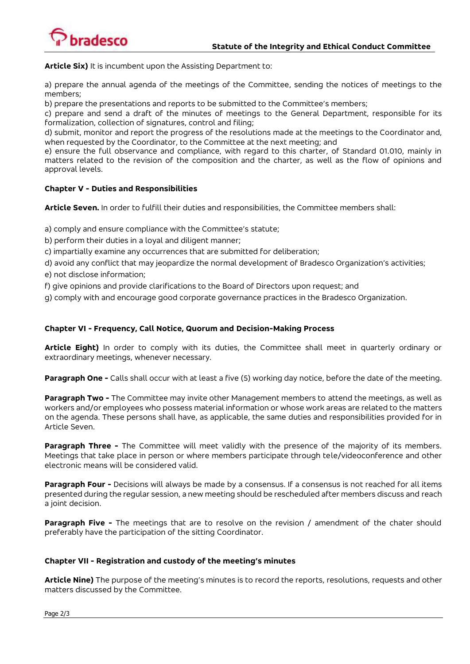

**Article Six)** It is incumbent upon the Assisting Department to:

a) prepare the annual agenda of the meetings of the Committee, sending the notices of meetings to the members;

b) prepare the presentations and reports to be submitted to the Committee's members;

c) prepare and send a draft of the minutes of meetings to the General Department, responsible for its formalization, collection of signatures, control and filing;

d) submit, monitor and report the progress of the resolutions made at the meetings to the Coordinator and, when requested by the Coordinator, to the Committee at the next meeting; and

e) ensure the full observance and compliance, with regard to this charter, of Standard 01.010, mainly in matters related to the revision of the composition and the charter, as well as the flow of opinions and approval levels.

# **Chapter V - Duties and Responsibilities**

**Article Seven.** In order to fulfill their duties and responsibilities, the Committee members shall:

a) comply and ensure compliance with the Committee's statute;

b) perform their duties in a loyal and diligent manner;

c) impartially examine any occurrences that are submitted for deliberation;

d) avoid any conflict that may jeopardize the normal development of Bradesco Organization's activities;

- e) not disclose information;
- f) give opinions and provide clarifications to the Board of Directors upon request; and

g) comply with and encourage good corporate governance practices in the Bradesco Organization.

## **Chapter VI - Frequency, Call Notice, Quorum and Decision-Making Process**

**Article Eight)** In order to comply with its duties, the Committee shall meet in quarterly ordinary or extraordinary meetings, whenever necessary.

**Paragraph One -** Calls shall occur with at least a five (5) working day notice, before the date of the meeting.

**Paragraph Two -** The Committee may invite other Management members to attend the meetings, as well as workers and/or employees who possess material information or whose work areas are related to the matters on the agenda. These persons shall have, as applicable, the same duties and responsibilities provided for in Article Seven.

**Paragraph Three -** The Committee will meet validly with the presence of the majority of its members. Meetings that take place in person or where members participate through tele/videoconference and other electronic means will be considered valid.

**Paragraph Four -** Decisions will always be made by a consensus. If a consensus is not reached for all items presented during the regular session, a new meeting should be rescheduled after members discuss and reach a joint decision.

**Paragraph Five -** The meetings that are to resolve on the revision / amendment of the chater should preferably have the participation of the sitting Coordinator.

### **Chapter VII - Registration and custody of the meeting's minutes**

**Article Nine)** The purpose of the meeting's minutes is to record the reports, resolutions, requests and other matters discussed by the Committee.